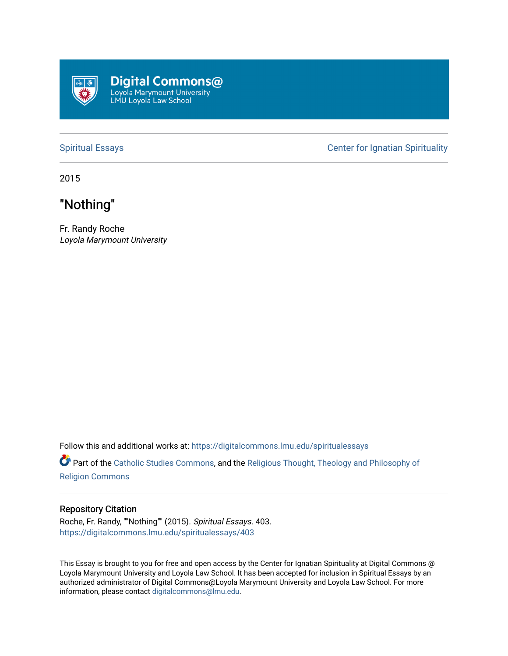

[Spiritual Essays](https://digitalcommons.lmu.edu/spiritualessays) **Center for Ignatian Spirituality** 

2015

## "Nothing"

Fr. Randy Roche Loyola Marymount University

Follow this and additional works at: [https://digitalcommons.lmu.edu/spiritualessays](https://digitalcommons.lmu.edu/spiritualessays?utm_source=digitalcommons.lmu.edu%2Fspiritualessays%2F403&utm_medium=PDF&utm_campaign=PDFCoverPages)

Part of the [Catholic Studies Commons](http://network.bepress.com/hgg/discipline/1294?utm_source=digitalcommons.lmu.edu%2Fspiritualessays%2F403&utm_medium=PDF&utm_campaign=PDFCoverPages), and the Religious Thought, Theology and Philosophy of [Religion Commons](http://network.bepress.com/hgg/discipline/544?utm_source=digitalcommons.lmu.edu%2Fspiritualessays%2F403&utm_medium=PDF&utm_campaign=PDFCoverPages)

## Repository Citation

Roche, Fr. Randy, ""Nothing"" (2015). Spiritual Essays. 403. [https://digitalcommons.lmu.edu/spiritualessays/403](https://digitalcommons.lmu.edu/spiritualessays/403?utm_source=digitalcommons.lmu.edu%2Fspiritualessays%2F403&utm_medium=PDF&utm_campaign=PDFCoverPages)

This Essay is brought to you for free and open access by the Center for Ignatian Spirituality at Digital Commons @ Loyola Marymount University and Loyola Law School. It has been accepted for inclusion in Spiritual Essays by an authorized administrator of Digital Commons@Loyola Marymount University and Loyola Law School. For more information, please contact [digitalcommons@lmu.edu.](mailto:digitalcommons@lmu.edu)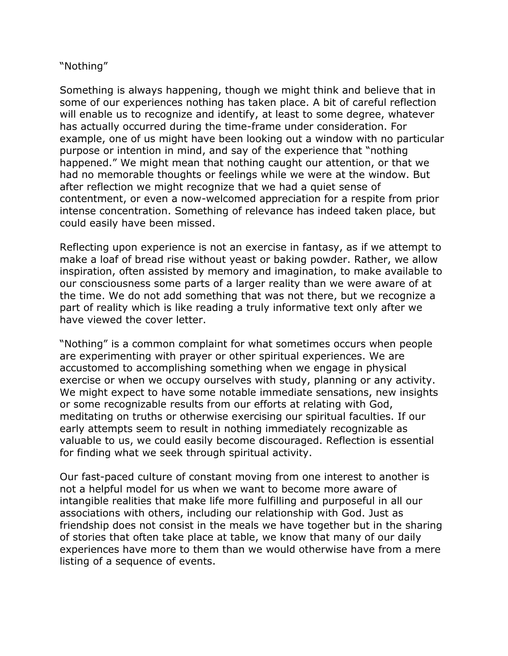## "Nothing"

Something is always happening, though we might think and believe that in some of our experiences nothing has taken place. A bit of careful reflection will enable us to recognize and identify, at least to some degree, whatever has actually occurred during the time-frame under consideration. For example, one of us might have been looking out a window with no particular purpose or intention in mind, and say of the experience that "nothing happened." We might mean that nothing caught our attention, or that we had no memorable thoughts or feelings while we were at the window. But after reflection we might recognize that we had a quiet sense of contentment, or even a now-welcomed appreciation for a respite from prior intense concentration. Something of relevance has indeed taken place, but could easily have been missed.

Reflecting upon experience is not an exercise in fantasy, as if we attempt to make a loaf of bread rise without yeast or baking powder. Rather, we allow inspiration, often assisted by memory and imagination, to make available to our consciousness some parts of a larger reality than we were aware of at the time. We do not add something that was not there, but we recognize a part of reality which is like reading a truly informative text only after we have viewed the cover letter.

"Nothing" is a common complaint for what sometimes occurs when people are experimenting with prayer or other spiritual experiences. We are accustomed to accomplishing something when we engage in physical exercise or when we occupy ourselves with study, planning or any activity. We might expect to have some notable immediate sensations, new insights or some recognizable results from our efforts at relating with God, meditating on truths or otherwise exercising our spiritual faculties. If our early attempts seem to result in nothing immediately recognizable as valuable to us, we could easily become discouraged. Reflection is essential for finding what we seek through spiritual activity.

Our fast-paced culture of constant moving from one interest to another is not a helpful model for us when we want to become more aware of intangible realities that make life more fulfilling and purposeful in all our associations with others, including our relationship with God. Just as friendship does not consist in the meals we have together but in the sharing of stories that often take place at table, we know that many of our daily experiences have more to them than we would otherwise have from a mere listing of a sequence of events.